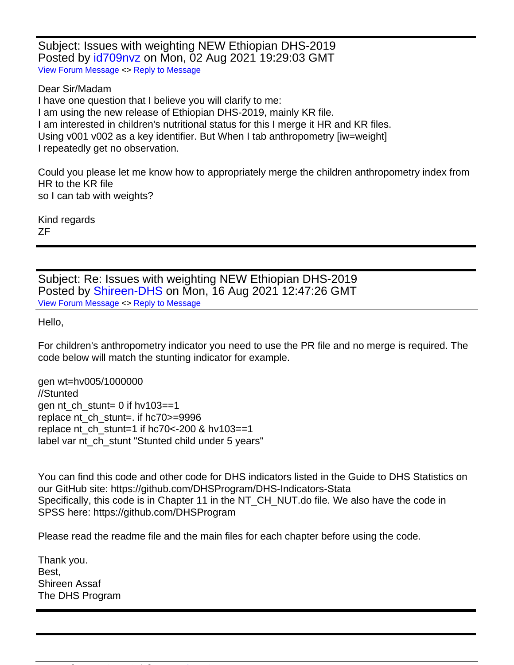Subject: Issues with weighting NEW Ethiopian DHS-2019 Posted by [id709nvz](https://userforum.dhsprogram.com/index.php?t=usrinfo&id=7678) on Mon, 02 Aug 2021 19:29:03 GMT [View Forum Message](https://userforum.dhsprogram.com/index.php?t=rview&th=11154&goto=23223#msg_23223) <> [Reply to Message](https://userforum.dhsprogram.com/index.php?t=post&reply_to=23223)

Dear Sir/Madam

I have one question that I believe you will clarify to me: I am using the new release of Ethiopian DHS-2019, mainly KR file. I am interested in children's nutritional status for this I merge it HR and KR files. Using v001 v002 as a key identifier. But When I tab anthropometry [iw=weight] I repeatedly get no observation.

Could you please let me know how to appropriately merge the children anthropometry index from HR to the KR file so I can tab with weights?

Kind regards ZF

Subject: Re: Issues with weighting NEW Ethiopian DHS-2019 Posted by [Shireen-DHS](https://userforum.dhsprogram.com/index.php?t=usrinfo&id=9656) on Mon, 16 Aug 2021 12:47:26 GMT [View Forum Message](https://userforum.dhsprogram.com/index.php?t=rview&th=11154&goto=23276#msg_23276) <> [Reply to Message](https://userforum.dhsprogram.com/index.php?t=post&reply_to=23276)

Hello,

For children's anthropometry indicator you need to use the PR file and no merge is required. The code below will match the stunting indicator for example.

gen wt=hv005/1000000 //Stunted gen nt\_ch\_stunt= 0 if hv103==1 replace nt ch\_stunt=. if hc70>=9996 replace nt ch\_stunt=1 if hc70 <- 200 & hv103==1 label var nt\_ch\_stunt "Stunted child under 5 years"

You can find this code and other code for DHS indicators listed in the Guide to DHS Statistics on our GitHub site: https://github.com/DHSProgram/DHS-Indicators-Stata Specifically, this code is in Chapter 11 in the NT CH NUT.do file. We also have the code in SPSS here: https://github.com/DHSProgram

Please read the readme file and the main files for each chapter before using the code.

Thank you. Best, Shireen Assaf The DHS Program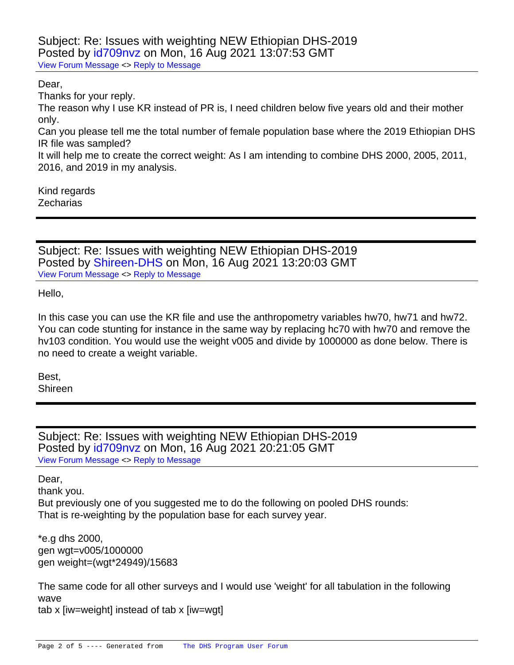Subject: Re: Issues with weighting NEW Ethiopian DHS-2019 Posted by [id709nvz](https://userforum.dhsprogram.com/index.php?t=usrinfo&id=7678) on Mon, 16 Aug 2021 13:07:53 GMT [View Forum Message](https://userforum.dhsprogram.com/index.php?t=rview&th=11154&goto=23277#msg_23277) <> [Reply to Message](https://userforum.dhsprogram.com/index.php?t=post&reply_to=23277)

Dear,

Thanks for your reply.

The reason why I use KR instead of PR is, I need children below five years old and their mother only.

Can you please tell me the total number of female population base where the 2019 Ethiopian DHS IR file was sampled?

It will help me to create the correct weight: As I am intending to combine DHS 2000, 2005, 2011, 2016, and 2019 in my analysis.

Kind regards **Zecharias** 

Subject: Re: Issues with weighting NEW Ethiopian DHS-2019 Posted by [Shireen-DHS](https://userforum.dhsprogram.com/index.php?t=usrinfo&id=9656) on Mon, 16 Aug 2021 13:20:03 GMT [View Forum Message](https://userforum.dhsprogram.com/index.php?t=rview&th=11154&goto=23278#msg_23278) <> [Reply to Message](https://userforum.dhsprogram.com/index.php?t=post&reply_to=23278)

Hello,

In this case you can use the KR file and use the anthropometry variables hw70, hw71 and hw72. You can code stunting for instance in the same way by replacing hc70 with hw70 and remove the hv103 condition. You would use the weight v005 and divide by 1000000 as done below. There is no need to create a weight variable.

Best, Shireen

Subject: Re: Issues with weighting NEW Ethiopian DHS-2019 Posted by [id709nvz](https://userforum.dhsprogram.com/index.php?t=usrinfo&id=7678) on Mon, 16 Aug 2021 20:21:05 GMT [View Forum Message](https://userforum.dhsprogram.com/index.php?t=rview&th=11154&goto=23289#msg_23289) <> [Reply to Message](https://userforum.dhsprogram.com/index.php?t=post&reply_to=23289)

Dear,

thank you. But previously one of you suggested me to do the following on pooled DHS rounds: That is re-weighting by the population base for each survey year.

\*e.g dhs 2000, gen wgt=v005/1000000 gen weight=(wgt\*24949)/15683

The same code for all other surveys and I would use 'weight' for all tabulation in the following wave tab x [iw=weight] instead of tab x [iw=wgt]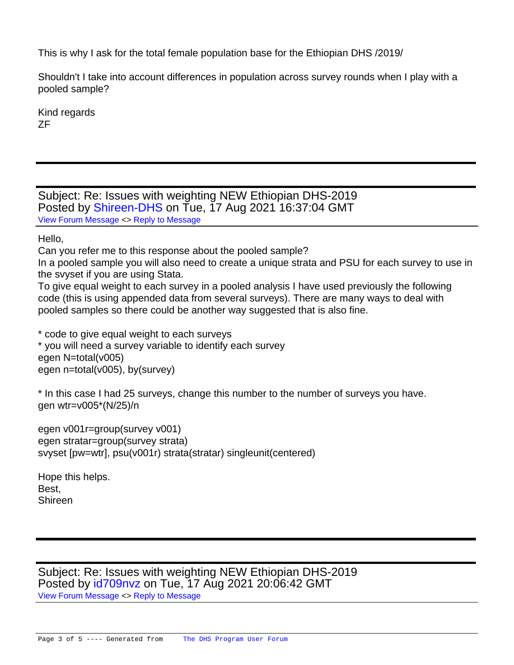This is why I ask for the total female population base for the Ethiopian DHS /2019/

Shouldn't I take into account differences in population across survey rounds when I play with a pooled sample?

Kind regards ZF

Subject: Re: Issues with weighting NEW Ethiopian DHS-2019 Posted by [Shireen-DHS](https://userforum.dhsprogram.com/index.php?t=usrinfo&id=9656) on Tue, 17 Aug 2021 16:37:04 GMT [View Forum Message](https://userforum.dhsprogram.com/index.php?t=rview&th=11154&goto=23296#msg_23296) <> [Reply to Message](https://userforum.dhsprogram.com/index.php?t=post&reply_to=23296)

Hello,

Can you refer me to this response about the pooled sample?

In a pooled sample you will also need to create a unique strata and PSU for each survey to use in the svyset if you are using Stata.

To give equal weight to each survey in a pooled analysis I have used previously the following code (this is using appended data from several surveys). There are many ways to deal with pooled samples so there could be another way suggested that is also fine.

\* code to give equal weight to each surveys

\* you will need a survey variable to identify each survey egen N=total(v005) egen n=total(v005), by(survey)

\* In this case I had 25 surveys, change this number to the number of surveys you have. gen wtr=v005\*(N/25)/n

 egen v001r=group(survey v001) egen stratar=group(survey strata) svyset [pw=wtr], psu(v001r) strata(stratar) singleunit(centered)

Hope this helps. Best, Shireen

Subject: Re: Issues with weighting NEW Ethiopian DHS-2019 Posted by [id709nvz](https://userforum.dhsprogram.com/index.php?t=usrinfo&id=7678) on Tue, 17 Aug 2021 20:06:42 GMT

[View Forum Message](https://userforum.dhsprogram.com/index.php?t=rview&th=11154&goto=23297#msg_23297) <> [Reply to Message](https://userforum.dhsprogram.com/index.php?t=post&reply_to=23297)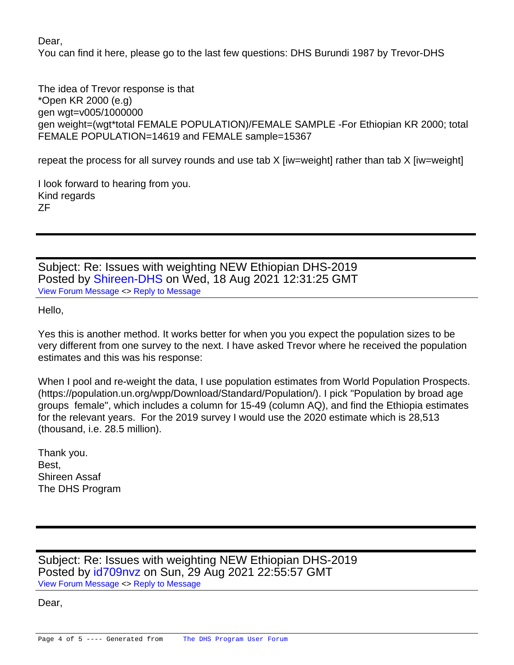Dear,

You can find it here, please go to the last few questions: DHS Burundi 1987 by Trevor-DHS

The idea of Trevor response is that \*Open KR 2000 (e.g) gen wgt=v005/1000000 gen weight=(wgt\*total FEMALE POPULATION)/FEMALE SAMPLE -For Ethiopian KR 2000; total FEMALE POPULATION=14619 and FEMALE sample=15367

repeat the process for all survey rounds and use tab X [iw=weight] rather than tab X [iw=weight]

I look forward to hearing from you. Kind regards ZF

Subject: Re: Issues with weighting NEW Ethiopian DHS-2019 Posted by [Shireen-DHS](https://userforum.dhsprogram.com/index.php?t=usrinfo&id=9656) on Wed, 18 Aug 2021 12:31:25 GMT [View Forum Message](https://userforum.dhsprogram.com/index.php?t=rview&th=11154&goto=23299#msg_23299) <> [Reply to Message](https://userforum.dhsprogram.com/index.php?t=post&reply_to=23299)

Hello,

Yes this is another method. It works better for when you you expect the population sizes to be very different from one survey to the next. I have asked Trevor where he received the population estimates and this was his response:

When I pool and re-weight the data, I use population estimates from World Population Prospects. (https://population.un.org/wpp/Download/Standard/Population/). I pick "Population by broad age groups female", which includes a column for 15-49 (column AQ), and find the Ethiopia estimates for the relevant years. For the 2019 survey I would use the 2020 estimate which is 28,513 (thousand, i.e. 28.5 million).

Thank you. Best, Shireen Assaf The DHS Program

Subject: Re: Issues with weighting NEW Ethiopian DHS-2019 Posted by [id709nvz](https://userforum.dhsprogram.com/index.php?t=usrinfo&id=7678) on Sun, 29 Aug 2021 22:55:57 GMT [View Forum Message](https://userforum.dhsprogram.com/index.php?t=rview&th=11154&goto=23364#msg_23364) <> [Reply to Message](https://userforum.dhsprogram.com/index.php?t=post&reply_to=23364)

Dear,